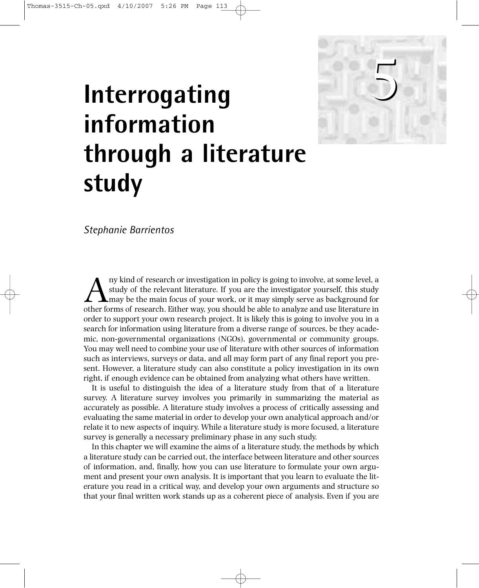

# **Interrogating information through a literature study**

*Stephanie Barrientos* 

A study of the relevant literature. If you are the investigator yourself, this study<br>may be the main focus of your work, or it may simply serve as background for<br>other forms of research. Fither way, you should be able to a study of the relevant literature. If you are the investigator yourself, this study **L** may be the main focus of your work, or it may simply serve as background for other forms of research. Either way, you should be able to analyze and use literature in order to support your own research project. It is likely this is going to involve you in a search for information using literature from a diverse range of sources, be they academic, non-governmental organizations (NGOs), governmental or community groups. You may well need to combine your use of literature with other sources of information such as interviews, surveys or data, and all may form part of any final report you present. However, a literature study can also constitute a policy investigation in its own right, if enough evidence can be obtained from analyzing what others have written.

It is useful to distinguish the idea of a literature study from that of a literature survey. A literature survey involves you primarily in summarizing the material as accurately as possible. A literature study involves a process of critically assessing and evaluating the same material in order to develop your own analytical approach and/or relate it to new aspects of inquiry. While a literature study is more focused, a literature survey is generally a necessary preliminary phase in any such study.

In this chapter we will examine the aims of a literature study, the methods by which a literature study can be carried out, the interface between literature and other sources of information, and, finally, how you can use literature to formulate your own argument and present your own analysis. It is important that you learn to evaluate the literature you read in a critical way, and develop your own arguments and structure so that your final written work stands up as a coherent piece of analysis. Even if you are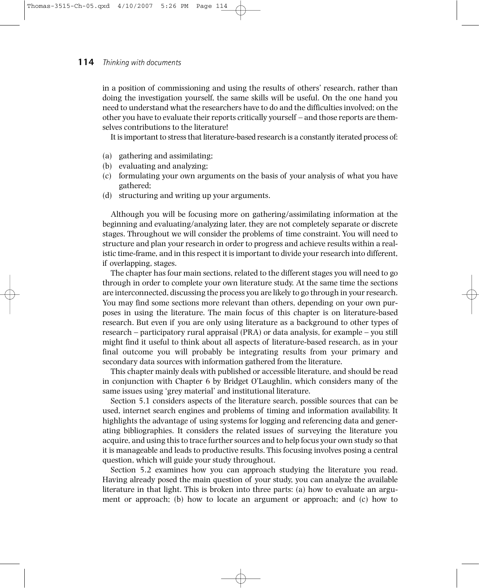in a position of commissioning and using the results of others' research, rather than doing the investigation yourself, the same skills will be useful. On the one hand you need to understand what the researchers have to do and the difficulties involved; on the other you have to evaluate their reports critically yourself – and those reports are themselves contributions to the literature!

It is important to stress that literature-based research is a constantly iterated process of:

- (a) gathering and assimilating;
- (b) evaluating and analyzing;
- (c) formulating your own arguments on the basis of your analysis of what you have gathered;
- (d) structuring and writing up your arguments.

Although you will be focusing more on gathering/assimilating information at the beginning and evaluating/analyzing later, they are not completely separate or discrete stages. Throughout we will consider the problems of time constraint. You will need to structure and plan your research in order to progress and achieve results within a realistic time-frame, and in this respect it is important to divide your research into different, if overlapping, stages.

The chapter has four main sections, related to the different stages you will need to go through in order to complete your own literature study. At the same time the sections are interconnected, discussing the process you are likely to go through in your research. You may find some sections more relevant than others, depending on your own purposes in using the literature. The main focus of this chapter is on literature-based research. But even if you are only using literature as a background to other types of research – participatory rural appraisal (PRA) or data analysis, for example – you still might find it useful to think about all aspects of literature-based research, as in your final outcome you will probably be integrating results from your primary and secondary data sources with information gathered from the literature.

This chapter mainly deals with published or accessible literature, and should be read in conjunction with Chapter 6 by Bridget O'Laughlin, which considers many of the same issues using 'grey material' and institutional literature.

Section 5.1 considers aspects of the literature search, possible sources that can be used, internet search engines and problems of timing and information availability. It highlights the advantage of using systems for logging and referencing data and generating bibliographies. It considers the related issues of surveying the literature you acquire, and using this to trace further sources and to help focus your own study so that it is manageable and leads to productive results. This focusing involves posing a central question, which will guide your study throughout.

Section 5.2 examines how you can approach studying the literature you read. Having already posed the main question of your study, you can analyze the available literature in that light. This is broken into three parts: (a) how to evaluate an argument or approach; (b) how to locate an argument or approach; and (c) how to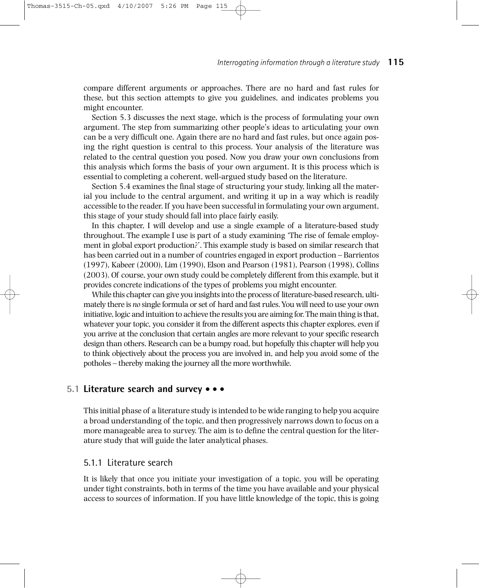compare different arguments or approaches. There are no hard and fast rules for these, but this section attempts to give you guidelines, and indicates problems you might encounter.

Section 5.3 discusses the next stage, which is the process of formulating your own argument. The step from summarizing other people's ideas to articulating your own can be a very difficult one. Again there are no hard and fast rules, but once again posing the right question is central to this process. Your analysis of the literature was related to the central question you posed. Now you draw your own conclusions from this analysis which forms the basis of your own argument. It is this process which is essential to completing a coherent, well-argued study based on the literature.

Section 5.4 examines the final stage of structuring your study, linking all the material you include to the central argument, and writing it up in a way which is readily accessible to the reader. If you have been successful in formulating your own argument, this stage of your study should fall into place fairly easily.

In this chapter, I will develop and use a single example of a literature-based study throughout. The example I use is part of a study examining 'The rise of female employment in global export production?'. This example study is based on similar research that has been carried out in a number of countries engaged in export production – Barrientos (1997), Kabeer (2000), Lim (1990), Elson and Pearson (1981), Pearson (1998), Collins (2003). Of course, your own study could be completely different from this example, but it provides concrete indications of the types of problems you might encounter.

While this chapter can give you insights into the process of literature-based research, ultimately there is *no* single formula or set of hard and fast rules. You will need to use your own initiative, logic and intuition to achieve the results you are aiming for. The main thing is that, whatever your topic, you consider it from the different aspects this chapter explores, even if you arrive at the conclusion that certain angles are more relevant to your specific research design than others. Research can be a bumpy road, but hopefully this chapter will help you to think objectively about the process you are involved in, and help you avoid some of the potholes – thereby making the journey all the more worthwhile.

# **5.1 Literature search and survey** • • •

This initial phase of a literature study is intended to be wide ranging to help you acquire a broad understanding of the topic, and then progressively narrows down to focus on a more manageable area to survey. The aim is to define the central question for the literature study that will guide the later analytical phases.

#### 5.1.1 Literature search

It is likely that once you initiate your investigation of a topic, you will be operating under tight constraints, both in terms of the time you have available and your physical access to sources of information. If you have little knowledge of the topic, this is going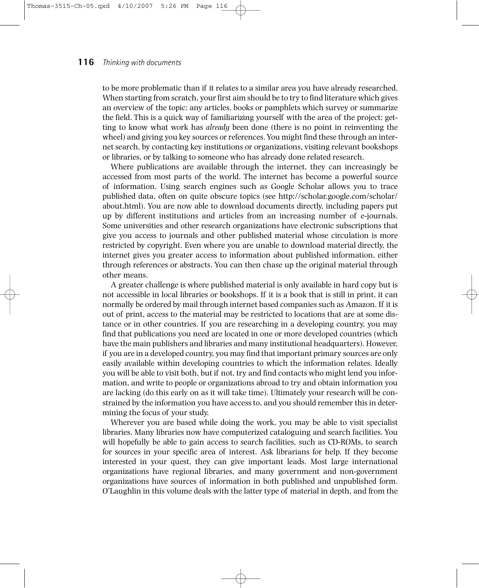to be more problematic than if it relates to a similar area you have already researched. When starting from scratch, your first aim should be to try to find literature which gives an overview of the topic: any articles, books or pamphlets which survey or summarize the field. This is a quick way of familiarizing yourself with the area of the project; getting to know what work has *already* been done (there is no point in reinventing the wheel) and giving you key sources or references. You might find these through an internet search, by contacting key institutions or organizations, visiting relevant bookshops or libraries, or by talking to someone who has already done related research.

Where publications are available through the internet, they can increasingly be accessed from most parts of the world. The internet has become a powerful source of information. Using search engines such as Google Scholar allows you to trace published data, often on quite obscure topics (see http://scholar.google.com/scholar/ about.html). You are now able to download documents directly, including papers put up by different institutions and articles from an increasing number of e-journals. Some universities and other research organizations have electronic subscriptions that give you access to journals and other published material whose circulation is more restricted by copyright. Even where you are unable to download material directly, the internet gives you greater access to information about published information, either through references or abstracts. You can then chase up the original material through other means.

A greater challenge is where published material is only available in hard copy but is not accessible in local libraries or bookshops. If it is a book that is still in print, it can normally be ordered by mail through internet based companies such as Amazon. If it is out of print, access to the material may be restricted to locations that are at some distance or in other countries. If you are researching in a developing country, you may find that publications you need are located in one or more developed countries (which have the main publishers and libraries and many institutional headquarters). However, if you are in a developed country, you may find that important primary sources are only easily available within developing countries to which the information relates. Ideally you will be able to visit both, but if not, try and find contacts who might lend you information, and write to people or organizations abroad to try and obtain information you are lacking (do this early on as it will take time). Ultimately your research will be constrained by the information you have access to, and you should remember this in determining the focus of your study.

Wherever you are based while doing the work, you may be able to visit specialist libraries. Many libraries now have computerized cataloguing and search facilities. You will hopefully be able to gain access to search facilities, such as CD-ROMs, to search for sources in your specific area of interest. Ask librarians for help. If they become interested in your quest, they can give important leads. Most large international organizations have regional libraries, and many government and non-government organizations have sources of information in both published and unpublished form. O'Laughlin in this volume deals with the latter type of material in depth, and from the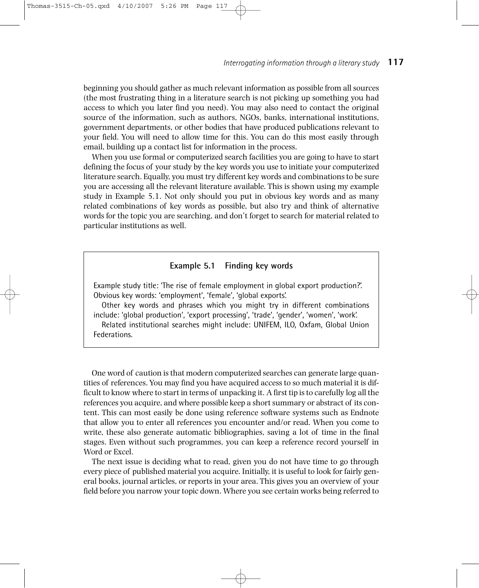beginning you should gather as much relevant information as possible from all sources (the most frustrating thing in a literature search is not picking up something you had access to which you later find you need). You may also need to contact the original source of the information, such as authors, NGOs, banks, international institutions, government departments, or other bodies that have produced publications relevant to your field. You will need to allow time for this. You can do this most easily through email, building up a contact list for information in the process.

When you use formal or computerized search facilities you are going to have to start defining the focus of your study by the key words you use to initiate your computerized literature search. Equally, you must try different key words and combinations to be sure you are accessing all the relevant literature available. This is shown using my example study in Example 5.1. Not only should you put in obvious key words and as many related combinations of key words as possible, but also try and think of alternative words for the topic you are searching, and don't forget to search for material related to particular institutions as well.

# **Example 5.1 Finding key words**

Example study title: 'The rise of female employment in global export production?'. Obvious key words: 'employment', 'female', 'global exports'.

Other key words and phrases which you might try in different combinations include: 'global production', 'export processing', 'trade', 'gender', 'women', 'work'. Related institutional searches might include: UNIFEM, ILO, Oxfam, Global Union Federations.

One word of caution is that modern computerized searches can generate large quantities of references. You may find you have acquired access to so much material it is difficult to know where to start in terms of unpacking it. A first tip is to carefully log all the references you acquire, and where possible keep a short summary or abstract of its content. This can most easily be done using reference software systems such as Endnote that allow you to enter all references you encounter and/or read. When you come to write, these also generate automatic bibliographies, saving a lot of time in the final stages. Even without such programmes, you can keep a reference record yourself in Word or Excel.

The next issue is deciding what to read, given you do not have time to go through every piece of published material you acquire. Initially, it is useful to look for fairly general books, journal articles, or reports in your area. This gives you an overview of your field before you narrow your topic down. Where you see certain works being referred to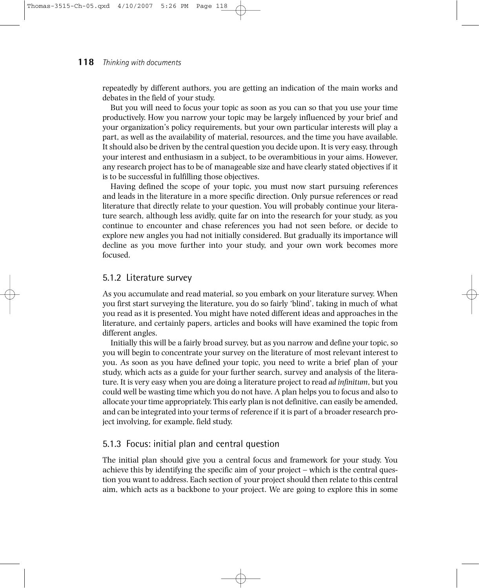repeatedly by different authors, you are getting an indication of the main works and debates in the field of your study.

But you will need to focus your topic as soon as you can so that you use your time productively. How you narrow your topic may be largely influenced by your brief and your organization's policy requirements, but your own particular interests will play a part, as well as the availability of material, resources, and the time you have available. It should also be driven by the central question you decide upon. It is very easy, through your interest and enthusiasm in a subject, to be overambitious in your aims. However, any research project has to be of manageable size and have clearly stated objectives if it is to be successful in fulfilling those objectives.

Having defined the scope of your topic, you must now start pursuing references and leads in the literature in a more specific direction. Only pursue references or read literature that directly relate to your question. You will probably continue your literature search, although less avidly, quite far on into the research for your study, as you continue to encounter and chase references you had not seen before, or decide to explore new angles you had not initially considered. But gradually its importance will decline as you move further into your study, and your own work becomes more focused.

#### 5.1.2 Literature survey

As you accumulate and read material, so you embark on your literature survey. When you first start surveying the literature, you do so fairly 'blind', taking in much of what you read as it is presented. You might have noted different ideas and approaches in the literature, and certainly papers, articles and books will have examined the topic from different angles.

Initially this will be a fairly broad survey, but as you narrow and define your topic, so you will begin to concentrate your survey on the literature of most relevant interest to you. As soon as you have defined your topic, you need to write a brief plan of your study, which acts as a guide for your further search, survey and analysis of the literature. It is very easy when you are doing a literature project to read *ad infinitum*, but you could well be wasting time which you do not have. A plan helps you to focus and also to allocate your time appropriately. This early plan is not definitive, can easily be amended, and can be integrated into your terms of reference if it is part of a broader research project involving, for example, field study.

#### 5.1.3 Focus: initial plan and central question

The initial plan should give you a central focus and framework for your study. You achieve this by identifying the specific aim of your project – which is the central question you want to address. Each section of your project should then relate to this central aim, which acts as a backbone to your project. We are going to explore this in some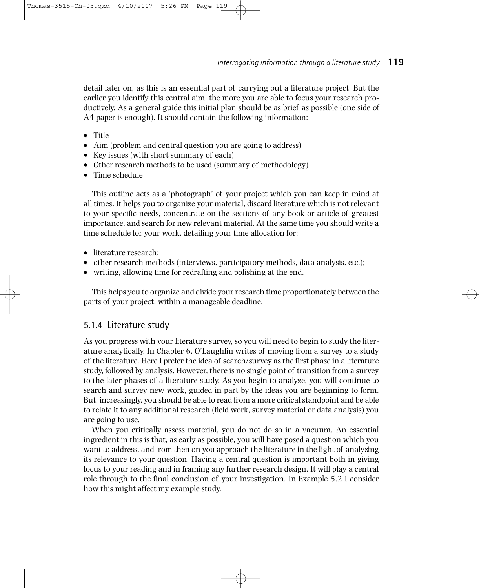detail later on, as this is an essential part of carrying out a literature project. But the earlier you identify this central aim, the more you are able to focus your research productively. As a general guide this initial plan should be as brief as possible (one side of A4 paper is enough). It should contain the following information:

- Title
- Aim (problem and central question you are going to address)
- Key issues (with short summary of each)
- Other research methods to be used (summary of methodology)
- Time schedule

This outline acts as a 'photograph' of your project which you can keep in mind at all times. It helps you to organize your material, discard literature which is not relevant to your specific needs, concentrate on the sections of any book or article of greatest importance, and search for new relevant material. At the same time you should write a time schedule for your work, detailing your time allocation for:

- literature research:
- other research methods (interviews, participatory methods, data analysis, etc.);
- writing, allowing time for redrafting and polishing at the end.

This helps you to organize and divide your research time proportionately between the parts of your project, within a manageable deadline.

# 5.1.4 Literature study

As you progress with your literature survey, so you will need to begin to study the literature analytically. In Chapter 6, O'Laughlin writes of moving from a survey to a study of the literature. Here I prefer the idea of search/survey as the first phase in a literature study, followed by analysis. However, there is no single point of transition from a survey to the later phases of a literature study. As you begin to analyze, you will continue to search and survey new work, guided in part by the ideas you are beginning to form. But, increasingly, you should be able to read from a more critical standpoint and be able to relate it to any additional research (field work, survey material or data analysis) you are going to use.

When you critically assess material, you do not do so in a vacuum. An essential ingredient in this is that, as early as possible, you will have posed a question which you want to address, and from then on you approach the literature in the light of analyzing its relevance to your question. Having a central question is important both in giving focus to your reading and in framing any further research design. It will play a central role through to the final conclusion of your investigation. In Example 5.2 I consider how this might affect my example study.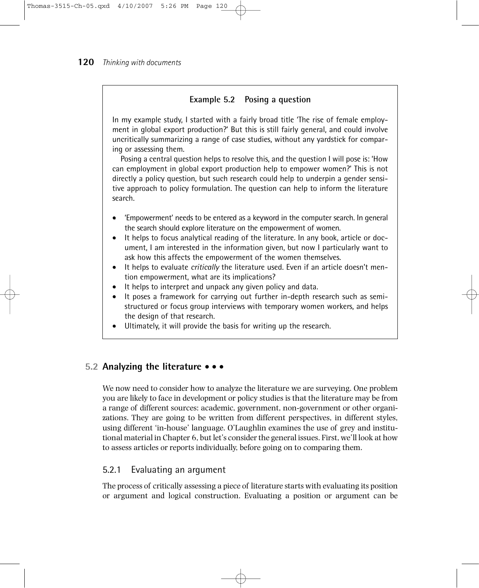# **Example 5.2 Posing a question**

In my example study, I started with a fairly broad title 'The rise of female employment in global export production?' But this is still fairly general, and could involve uncritically summarizing a range of case studies, without any yardstick for comparing or assessing them.

Posing a central question helps to resolve this, and the question I will pose is: 'How can employment in global export production help to empower women?' This is not directly a policy question, but such research could help to underpin a gender sensitive approach to policy formulation. The question can help to inform the literature search.

- 'Empowerment' needs to be entered as a keyword in the computer search. In general the search should explore literature on the empowerment of women.
- It helps to focus analytical reading of the literature. In any book, article or document, I am interested in the information given, but now I particularly want to ask how this affects the empowerment of the women themselves.
- It helps to evaluate *critically* the literature used. Even if an article doesn't mention empowerment, what are its implications?
- It helps to interpret and unpack any given policy and data.
- It poses a framework for carrying out further in-depth research such as semistructured or focus group interviews with temporary women workers, and helps the design of that research.
- Ultimately, it will provide the basis for writing up the research.

# **5.2 Analyzing the literature** • • •

We now need to consider how to analyze the literature we are surveying. One problem you are likely to face in development or policy studies is that the literature may be from a range of different sources: academic, government, non-government or other organizations. They are going to be written from different perspectives, in different styles, using different 'in-house' language. O'Laughlin examines the use of grey and institutional material in Chapter 6, but let's consider the general issues. First, we'll look at how to assess articles or reports individually, before going on to comparing them.

# 5.2.1 Evaluating an argument

The process of critically assessing a piece of literature starts with evaluating its position or argument and logical construction. Evaluating a position or argument can be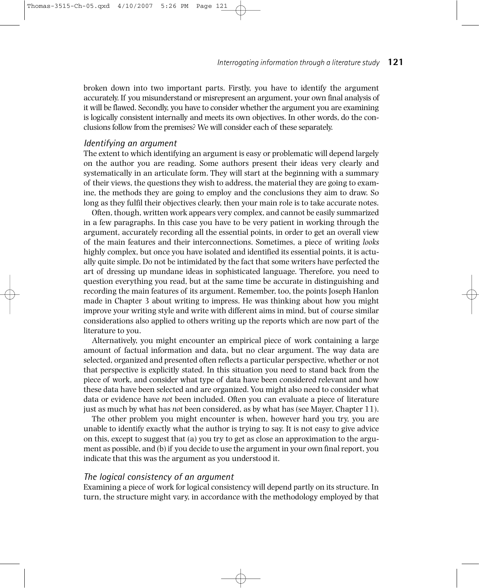broken down into two important parts. Firstly, you have to identify the argument accurately. If you misunderstand or misrepresent an argument, your own final analysis of it will be flawed. Secondly, you have to consider whether the argument you are examining is logically consistent internally and meets its own objectives. In other words, do the conclusions follow from the premises? We will consider each of these separately.

#### *Identifying an argument*

The extent to which identifying an argument is easy or problematic will depend largely on the author you are reading. Some authors present their ideas very clearly and systematically in an articulate form. They will start at the beginning with a summary of their views, the questions they wish to address, the material they are going to examine, the methods they are going to employ and the conclusions they aim to draw. So long as they fulfil their objectives clearly, then your main role is to take accurate notes.

Often, though, written work appears very complex, and cannot be easily summarized in a few paragraphs. In this case you have to be very patient in working through the argument, accurately recording all the essential points, in order to get an overall view of the main features and their interconnections. Sometimes, a piece of writing *looks*  highly complex, but once you have isolated and identified its essential points, it is actually quite simple. Do not be intimidated by the fact that some writers have perfected the art of dressing up mundane ideas in sophisticated language. Therefore, you need to question everything you read, but at the same time be accurate in distinguishing and recording the main features of its argument. Remember, too, the points Joseph Hanlon made in Chapter 3 about writing to impress. He was thinking about how you might improve your writing style and write with different aims in mind, but of course similar considerations also applied to others writing up the reports which are now part of the literature to you.

Alternatively, you might encounter an empirical piece of work containing a large amount of factual information and data, but no clear argument. The way data are selected, organized and presented often reflects a particular perspective, whether or not that perspective is explicitly stated. In this situation you need to stand back from the piece of work, and consider what type of data have been considered relevant and how these data have been selected and are organized. You might also need to consider what data or evidence have *not* been included. Often you can evaluate a piece of literature just as much by what has *not* been considered, as by what has (see Mayer, Chapter 11).

The other problem you might encounter is when, however hard you try, you are unable to identify exactly what the author is trying to say. It is not easy to give advice on this, except to suggest that (a) you try to get as close an approximation to the argument as possible, and (b) if you decide to use the argument in your own final report, you indicate that this was the argument as you understood it.

#### *The logical consistency of an argument*

Examining a piece of work for logical consistency will depend partly on its structure. In turn, the structure might vary, in accordance with the methodology employed by that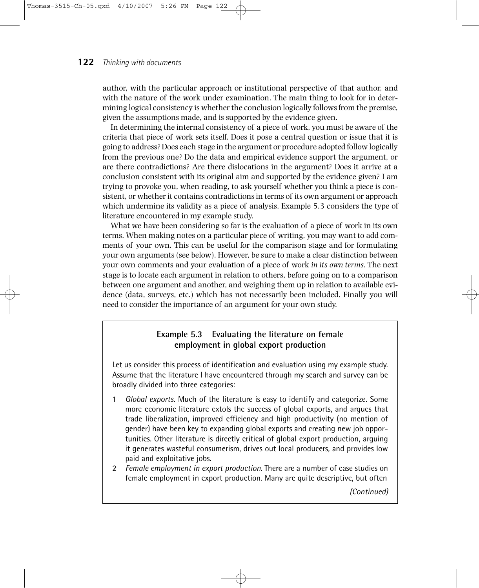author, with the particular approach or institutional perspective of that author, and with the nature of the work under examination. The main thing to look for in determining logical consistency is whether the conclusion logically follows from the premise, given the assumptions made, and is supported by the evidence given.

In determining the internal consistency of a piece of work, you must be aware of the criteria that piece of work sets itself. Does it pose a central question or issue that it is going to address? Does each stage in the argument or procedure adopted follow logically from the previous one? Do the data and empirical evidence support the argument, or are there contradictions? Are there dislocations in the argument? Does it arrive at a conclusion consistent with its original aim and supported by the evidence given? I am trying to provoke you, when reading, to ask yourself whether you think a piece is consistent, or whether it contains contradictions in terms of its own argument or approach which undermine its validity as a piece of analysis. Example 5.3 considers the type of literature encountered in my example study.

What we have been considering so far is the evaluation of a piece of work in its own terms. When making notes on a particular piece of writing, you may want to add comments of your own. This can be useful for the comparison stage and for formulating your own arguments (see below). However, be sure to make a clear distinction between your own comments and your evaluation of a piece of work *in its own terms*. The next stage is to locate each argument in relation to others, before going on to a comparison between one argument and another, and weighing them up in relation to available evidence (data, surveys, etc.) which has not necessarily been included. Finally you will need to consider the importance of an argument for your own study.

# **Example 5.3 Evaluating the literature on female employment in global export production**

Let us consider this process of identification and evaluation using my example study. Assume that the literature I have encountered through my search and survey can be broadly divided into three categories:

- 1 *Global exports.* Much of the literature is easy to identify and categorize. Some more economic literature extols the success of global exports, and argues that trade liberalization, improved efficiency and high productivity (no mention of gender) have been key to expanding global exports and creating new job opportunities. Other literature is directly critical of global export production, arguing it generates wasteful consumerism, drives out local producers, and provides low paid and exploitative jobs.
- 2 *Female employment in export production.* There are a number of case studies on female employment in export production. Many are quite descriptive, but often

*(Continued)*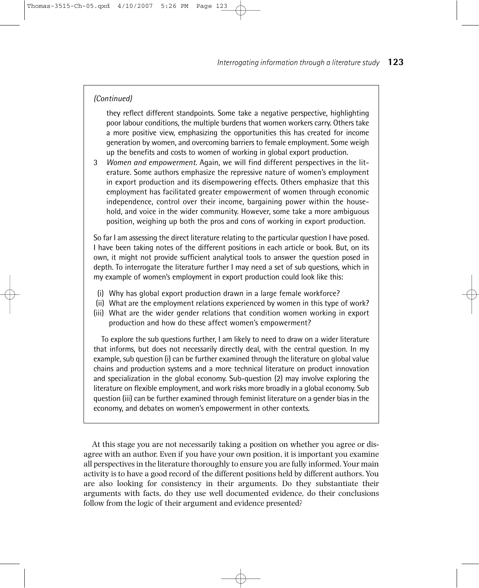# *(Continued)*

they reflect different standpoints. Some take a negative perspective, highlighting poor labour conditions, the multiple burdens that women workers carry. Others take a more positive view, emphasizing the opportunities this has created for income generation by women, and overcoming barriers to female employment. Some weigh up the benefits and costs to women of working in global export production.

3 *Women and empowerment.* Again, we will find different perspectives in the literature. Some authors emphasize the repressive nature of women's employment in export production and its disempowering effects. Others emphasize that this employment has facilitated greater empowerment of women through economic independence, control over their income, bargaining power within the household, and voice in the wider community. However, some take a more ambiguous position, weighing up both the pros and cons of working in export production.

So far I am assessing the direct literature relating to the particular question I have posed. I have been taking notes of the different positions in each article or book. But, on its own, it might not provide sufficient analytical tools to answer the question posed in depth. To interrogate the literature further I may need a set of sub questions, which in my example of women's employment in export production could look like this:

- (i) Why has global export production drawn in a large female workforce?
- (ii) What are the employment relations experienced by women in this type of work?
- (iii) What are the wider gender relations that condition women working in export production and how do these affect women's empowerment?

To explore the sub questions further, I am likely to need to draw on a wider literature that informs, but does not necessarily directly deal, with the central question. In my example, sub question (i) can be further examined through the literature on global value chains and production systems and a more technical literature on product innovation and specialization in the global economy. Sub-question (2) may involve exploring the literature on flexible employment, and work risks more broadly in a global economy. Sub question (iii) can be further examined through feminist literature on a gender bias in the economy, and debates on women's empowerment in other contexts.

At this stage you are not necessarily taking a position on whether you agree or disagree with an author. Even if you have your own position, it is important you examine all perspectives in the literature thoroughly to ensure you are fully informed. Your main activity is to have a good record of the different positions held by different authors. You are also looking for consistency in their arguments. Do they substantiate their arguments with facts, do they use well documented evidence, do their conclusions follow from the logic of their argument and evidence presented?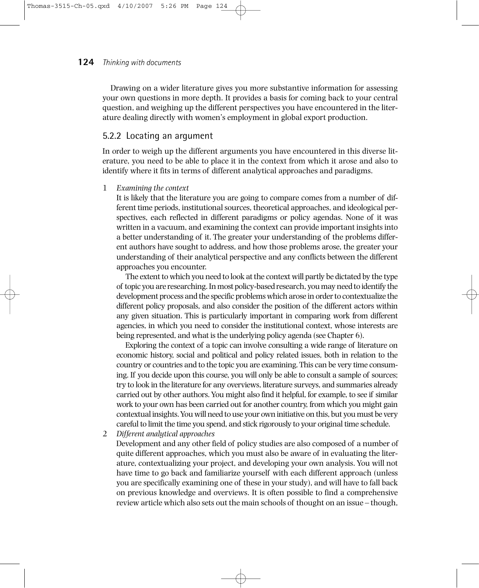Drawing on a wider literature gives you more substantive information for assessing your own questions in more depth. It provides a basis for coming back to your central question, and weighing up the different perspectives you have encountered in the literature dealing directly with women's employment in global export production.

#### 5.2.2 Locating an argument

In order to weigh up the different arguments you have encountered in this diverse literature, you need to be able to place it in the context from which it arose and also to identify where it fits in terms of different analytical approaches and paradigms.

#### 1 *Examining the context*

It is likely that the literature you are going to compare comes from a number of different time periods, institutional sources, theoretical approaches, and ideological perspectives, each reflected in different paradigms or policy agendas. None of it was written in a vacuum, and examining the context can provide important insights into a better understanding of it. The greater your understanding of the problems different authors have sought to address, and how those problems arose, the greater your understanding of their analytical perspective and any conflicts between the different approaches you encounter.

The extent to which you need to look at the context will partly be dictated by the type of topic you are researching. In most policy-based research, you may need to identify the development process and the specific problems which arose in order to contextualize the different policy proposals, and also consider the position of the different actors within any given situation. This is particularly important in comparing work from different agencies, in which you need to consider the institutional context, whose interests are being represented, and what is the underlying policy agenda (see Chapter 6).

Exploring the context of a topic can involve consulting a wide range of literature on economic history, social and political and policy related issues, both in relation to the country or countries and to the topic you are examining. This can be very time consuming. If you decide upon this course, you will only be able to consult a sample of sources; try to look in the literature for any overviews, literature surveys, and summaries already carried out by other authors. You might also find it helpful, for example, to see if similar work to your own has been carried out for another country, from which you might gain contextual insights. You will need to use your own initiative on this, but you must be very careful to limit the time you spend, and stick rigorously to your original time schedule.

2 *Different analytical approaches* 

Development and any other field of policy studies are also composed of a number of quite different approaches, which you must also be aware of in evaluating the literature, contextualizing your project, and developing your own analysis. You will not have time to go back and familiarize yourself with each different approach (unless you are specifically examining one of these in your study), and will have to fall back on previous knowledge and overviews. It is often possible to find a comprehensive review article which also sets out the main schools of thought on an issue – though,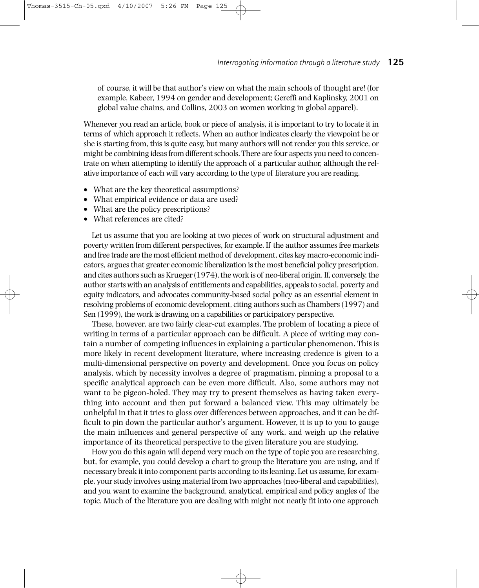of course, it will be that author's view on what the main schools of thought are! (for example, Kabeer, 1994 on gender and development; Gereffi and Kaplinsky, 2001 on global value chains, and Collins, 2003 on women working in global apparel).

Whenever you read an article, book or piece of analysis, it is important to try to locate it in terms of which approach it reflects. When an author indicates clearly the viewpoint he or she is starting from, this is quite easy, but many authors will not render you this service, or might be combining ideas from different schools. There are four aspects you need to concentrate on when attempting to identify the approach of a particular author, although the relative importance of each will vary according to the type of literature you are reading.

- What are the key theoretical assumptions?
- What empirical evidence or data are used?
- What are the policy prescriptions?
- What references are cited?

Let us assume that you are looking at two pieces of work on structural adjustment and poverty written from different perspectives, for example. If the author assumes free markets and free trade are the most efficient method of development, cites key macro-economic indicators, argues that greater economic liberalization is the most beneficial policy prescription, and cites authors such as Krueger (1974), the work is of neo-liberal origin. If, conversely, the author starts with an analysis of entitlements and capabilities, appeals to social, poverty and equity indicators, and advocates community-based social policy as an essential element in resolving problems of economic development, citing authors such as Chambers (1997) and Sen (1999), the work is drawing on a capabilities or participatory perspective.

These, however, are two fairly clear-cut examples. The problem of locating a piece of writing in terms of a particular approach can be difficult. A piece of writing may contain a number of competing influences in explaining a particular phenomenon. This is more likely in recent development literature, where increasing credence is given to a multi-dimensional perspective on poverty and development. Once you focus on policy analysis, which by necessity involves a degree of pragmatism, pinning a proposal to a specific analytical approach can be even more difficult. Also, some authors may not want to be pigeon-holed. They may try to present themselves as having taken everything into account and then put forward a balanced view. This may ultimately be unhelpful in that it tries to gloss over differences between approaches, and it can be difficult to pin down the particular author's argument. However, it is up to you to gauge the main influences and general perspective of any work, and weigh up the relative importance of its theoretical perspective to the given literature you are studying.

How you do this again will depend very much on the type of topic you are researching, but, for example, you could develop a chart to group the literature you are using, and if necessary break it into component parts according to its leaning. Let us assume, for example, your study involves using material from two approaches (neo-liberal and capabilities), and you want to examine the background, analytical, empirical and policy angles of the topic. Much of the literature you are dealing with might not neatly fit into one approach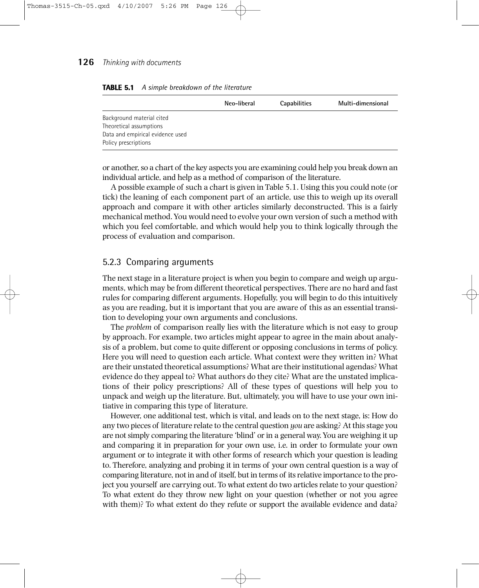|                                                                                                                  | Neo-liberal | <b>Capabilities</b> | Multi-dimensional |
|------------------------------------------------------------------------------------------------------------------|-------------|---------------------|-------------------|
| Background material cited<br>Theoretical assumptions<br>Data and empirical evidence used<br>Policy prescriptions |             |                     |                   |

| TABLE 5.1 |  | A simple breakdown of the literature |  |  |
|-----------|--|--------------------------------------|--|--|
|-----------|--|--------------------------------------|--|--|

or another, so a chart of the key aspects you are examining could help you break down an individual article, and help as a method of comparison of the literature.

A possible example of such a chart is given in Table 5.1. Using this you could note (or tick) the leaning of each component part of an article, use this to weigh up its overall approach and compare it with other articles similarly deconstructed. This is a fairly mechanical method. You would need to evolve your own version of such a method with which you feel comfortable, and which would help you to think logically through the process of evaluation and comparison.

# 5.2.3 Comparing arguments

The next stage in a literature project is when you begin to compare and weigh up arguments, which may be from different theoretical perspectives. There are no hard and fast rules for comparing different arguments. Hopefully, you will begin to do this intuitively as you are reading, but it is important that you are aware of this as an essential transition to developing your own arguments and conclusions.

The *problem* of comparison really lies with the literature which is not easy to group by approach. For example, two articles might appear to agree in the main about analysis of a problem, but come to quite different or opposing conclusions in terms of policy. Here you will need to question each article. What context were they written in? What are their unstated theoretical assumptions? What are their institutional agendas? What evidence do they appeal to? What authors do they cite? What are the unstated implications of their policy prescriptions? All of these types of questions will help you to unpack and weigh up the literature. But, ultimately, you will have to use your own initiative in comparing this type of literature.

However, one additional test, which is vital, and leads on to the next stage, is: How do any two pieces of literature relate to the central question *you* are asking? At this stage you are not simply comparing the literature 'blind' or in a general way. You are weighing it up and comparing it in preparation for your own use, i.e. in order to formulate your own argument or to integrate it with other forms of research which your question is leading to. Therefore, analyzing and probing it in terms of your own central question is a way of comparing literature, not in and of itself, but in terms of its relative importance to the project you yourself are carrying out. To what extent do two articles relate to your question? To what extent do they throw new light on your question (whether or not you agree with them)? To what extent do they refute or support the available evidence and data?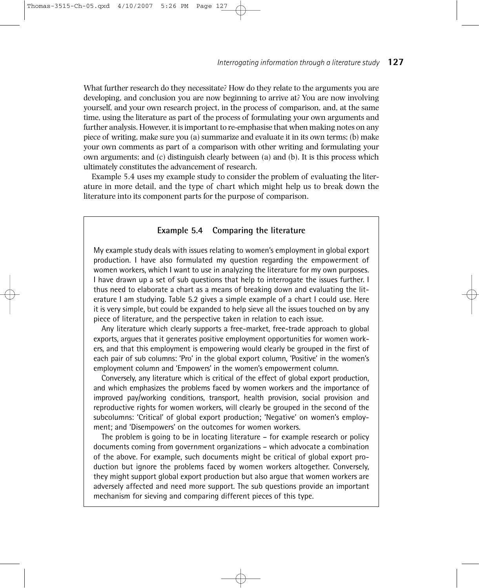What further research do they necessitate? How do they relate to the arguments you are developing, and conclusion you are now beginning to arrive at? You are now involving yourself, and your own research project, in the process of comparison, and, at the same time, using the literature as part of the process of formulating your own arguments and further analysis. However, it is important to re-emphasise that when making notes on any piece of writing, make sure you (a) summarize and evaluate it in its own terms; (b) make your own comments as part of a comparison with other writing and formulating your own arguments; and (c) distinguish clearly between (a) and (b). It is this process which ultimately constitutes the advancement of research.

Example 5.4 uses my example study to consider the problem of evaluating the literature in more detail, and the type of chart which might help us to break down the literature into its component parts for the purpose of comparison.

# **Example 5.4 Comparing the literature**

My example study deals with issues relating to women's employment in global export production. I have also formulated my question regarding the empowerment of women workers, which I want to use in analyzing the literature for my own purposes. I have drawn up a set of sub questions that help to interrogate the issues further. I thus need to elaborate a chart as a means of breaking down and evaluating the literature I am studying. Table 5.2 gives a simple example of a chart I could use. Here it is very simple, but could be expanded to help sieve all the issues touched on by any piece of literature, and the perspective taken in relation to each issue.

Any literature which clearly supports a free-market, free-trade approach to global exports, argues that it generates positive employment opportunities for women workers, and that this employment is empowering would clearly be grouped in the first of each pair of sub columns: 'Pro' in the global export column, 'Positive' in the women's employment column and 'Empowers' in the women's empowerment column.

Conversely, any literature which is critical of the effect of global export production, and which emphasizes the problems faced by women workers and the importance of improved pay/working conditions, transport, health provision, social provision and reproductive rights for women workers, will clearly be grouped in the second of the subcolumns: 'Critical' of global export production; 'Negative' on women's employment; and 'Disempowers' on the outcomes for women workers.

The problem is going to be in locating literature – for example research or policy documents coming from government organizations – which advocate a combination of the above. For example, such documents might be critical of global export production but ignore the problems faced by women workers altogether. Conversely, they might support global export production but also argue that women workers are adversely affected and need more support. The sub questions provide an important mechanism for sieving and comparing different pieces of this type.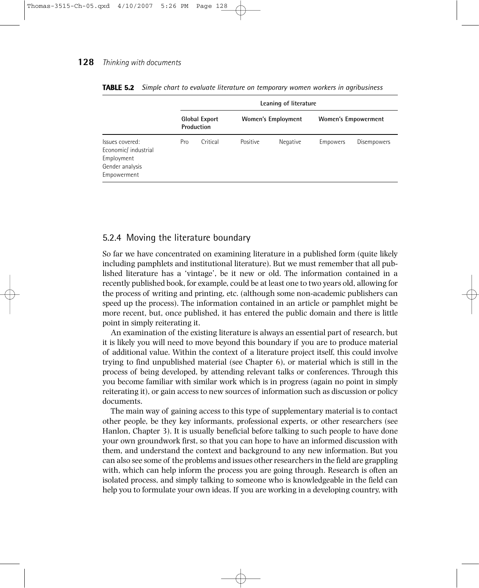|                                                                                         | Leaning of literature |                             |          |                           |          |                            |  |
|-----------------------------------------------------------------------------------------|-----------------------|-----------------------------|----------|---------------------------|----------|----------------------------|--|
|                                                                                         |                       | Global Export<br>Production |          | <b>Women's Employment</b> |          | <b>Women's Empowerment</b> |  |
| Issues covered:<br>Economic/ industrial<br>Employment<br>Gender analysis<br>Empowerment | Pro                   | Critical                    | Positive | Negative                  | Empowers | Disempowers                |  |

**TABLE 5.2** *Simple chart to evaluate literature on temporary women workers in agribusiness* 

#### 5.2.4 Moving the literature boundary

So far we have concentrated on examining literature in a published form (quite likely including pamphlets and institutional literature). But we must remember that all published literature has a 'vintage', be it new or old. The information contained in a recently published book, for example, could be at least one to two years old, allowing for the process of writing and printing, etc. (although some non-academic publishers can speed up the process). The information contained in an article or pamphlet might be more recent, but, once published, it has entered the public domain and there is little point in simply reiterating it.

An examination of the existing literature is always an essential part of research, but it is likely you will need to move beyond this boundary if you are to produce material of additional value. Within the context of a literature project itself, this could involve trying to find unpublished material (see Chapter 6), or material which is still in the process of being developed, by attending relevant talks or conferences. Through this you become familiar with similar work which is in progress (again no point in simply reiterating it), or gain access to new sources of information such as discussion or policy documents.

The main way of gaining access to this type of supplementary material is to contact other people, be they key informants, professional experts, or other researchers (see Hanlon, Chapter 3). It is usually beneficial before talking to such people to have done your own groundwork first, so that you can hope to have an informed discussion with them, and understand the context and background to any new information. But you can also see some of the problems and issues other researchers in the field are grappling with, which can help inform the process you are going through. Research is often an isolated process, and simply talking to someone who is knowledgeable in the field can help you to formulate your own ideas. If you are working in a developing country, with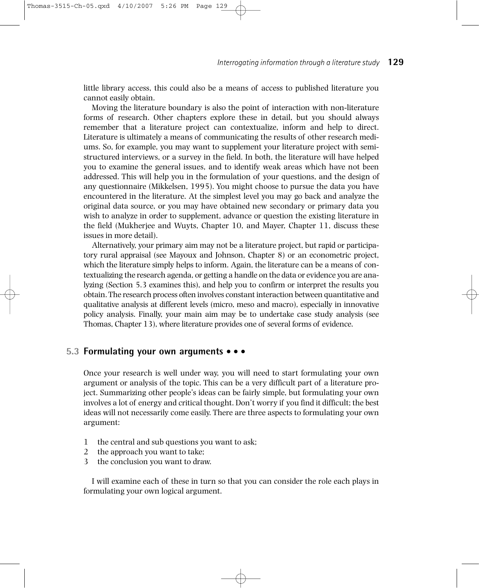little library access, this could also be a means of access to published literature you cannot easily obtain.

Moving the literature boundary is also the point of interaction with non-literature forms of research. Other chapters explore these in detail, but you should always remember that a literature project can contextualize, inform and help to direct. Literature is ultimately a means of communicating the results of other research mediums. So, for example, you may want to supplement your literature project with semistructured interviews, or a survey in the field. In both, the literature will have helped you to examine the general issues, and to identify weak areas which have not been addressed. This will help you in the formulation of your questions, and the design of any questionnaire (Mikkelsen, 1995). You might choose to pursue the data you have encountered in the literature. At the simplest level you may go back and analyze the original data source, or you may have obtained new secondary or primary data you wish to analyze in order to supplement, advance or question the existing literature in the field (Mukherjee and Wuyts, Chapter 10, and Mayer, Chapter 11, discuss these issues in more detail).

Alternatively, your primary aim may not be a literature project, but rapid or participatory rural appraisal (see Mayoux and Johnson, Chapter 8) or an econometric project, which the literature simply helps to inform. Again, the literature can be a means of contextualizing the research agenda, or getting a handle on the data or evidence you are analyzing (Section 5.3 examines this), and help you to confirm or interpret the results you obtain. The research process often involves constant interaction between quantitative and qualitative analysis at different levels (micro, meso and macro), especially in innovative policy analysis. Finally, your main aim may be to undertake case study analysis (see Thomas, Chapter 13), where literature provides one of several forms of evidence.

# **5.3 Formulating your own arguments** • • •

Once your research is well under way, you will need to start formulating your own argument or analysis of the topic. This can be a very difficult part of a literature project. Summarizing other people's ideas can be fairly simple, but formulating your own involves a lot of energy and critical thought. Don't worry if you find it difficult; the best ideas will not necessarily come easily. There are three aspects to formulating your own argument:

- 1 the central and sub questions you want to ask;
- 2 the approach you want to take;
- 3 the conclusion you want to draw.

I will examine each of these in turn so that you can consider the role each plays in formulating your own logical argument.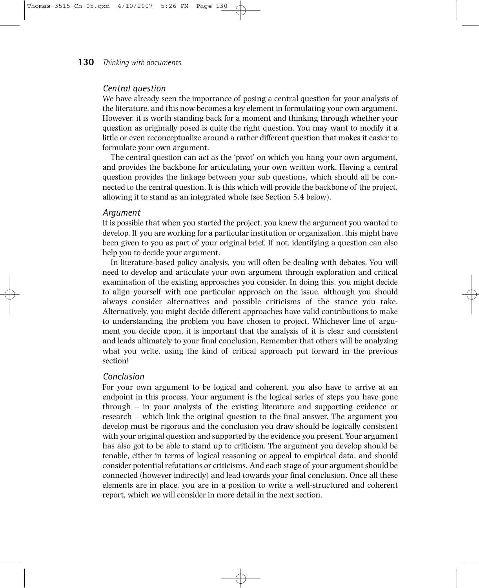# *Central question*

We have already seen the importance of posing a central question for your analysis of the literature, and this now becomes a key element in formulating your own argument. However, it is worth standing back for a moment and thinking through whether your question as originally posed is quite the right question. You may want to modify it a little or even reconceptualize around a rather different question that makes it easier to formulate your own argument.

The central question can act as the 'pivot' on which you hang your own argument, and provides the backbone for articulating your own written work. Having a central question provides the linkage between your sub questions, which should all be connected to the central question. It is this which will provide the backbone of the project, allowing it to stand as an integrated whole (see Section 5.4 below).

#### *Argument*

It is possible that when you started the project, you knew the argument you wanted to develop. If you are working for a particular institution or organization, this might have been given to you as part of your original brief. If not, identifying a question can also help you to decide your argument.

In literature-based policy analysis, you will often be dealing with debates. You will need to develop and articulate your own argument through exploration and critical examination of the existing approaches you consider. In doing this, you might decide to align yourself with one particular approach on the issue, although you should always consider alternatives and possible criticisms of the stance you take. Alternatively, you might decide different approaches have valid contributions to make to understanding the problem you have chosen to project. Whichever line of argument you decide upon, it is important that the analysis of it is clear and consistent and leads ultimately to your final conclusion. Remember that others will be analyzing what you write, using the kind of critical approach put forward in the previous section!

# *Conclusion*

For your own argument to be logical and coherent, you also have to arrive at an endpoint in this process. Your argument is the logical series of steps you have gone through – in your analysis of the existing literature and supporting evidence or research – which link the original question to the final answer. The argument you develop must be rigorous and the conclusion you draw should be logically consistent with your original question and supported by the evidence you present. Your argument has also got to be able to stand up to criticism. The argument you develop should be tenable, either in terms of logical reasoning or appeal to empirical data, and should consider potential refutations or criticisms. And each stage of your argument should be connected (however indirectly) and lead towards your final conclusion. Once all these elements are in place, you are in a position to write a well-structured and coherent report, which we will consider in more detail in the next section.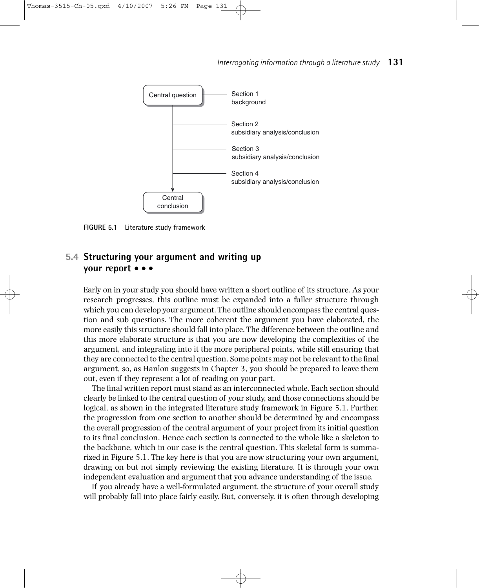

**FIGURE 5.1** Literature study framework

# **5.4 Structuring your argument and writing up your report** • • •

Early on in your study you should have written a short outline of its structure. As your research progresses, this outline must be expanded into a fuller structure through which you can develop your argument. The outline should encompass the central question and sub questions. The more coherent the argument you have elaborated, the more easily this structure should fall into place. The difference between the outline and this more elaborate structure is that you are now developing the complexities of the argument, and integrating into it the more peripheral points, while still ensuring that they are connected to the central question. Some points may not be relevant to the final argument, so, as Hanlon suggests in Chapter 3, you should be prepared to leave them out, even if they represent a lot of reading on your part.

The final written report must stand as an interconnected whole. Each section should clearly be linked to the central question of your study, and those connections should be logical, as shown in the integrated literature study framework in Figure 5.1. Further, the progression from one section to another should be determined by and encompass the overall progression of the central argument of your project from its initial question to its final conclusion. Hence each section is connected to the whole like a skeleton to the backbone, which in our case is the central question. This skeletal form is summarized in Figure 5.1. The key here is that you are now structuring your own argument, drawing on but not simply reviewing the existing literature. It is through your own independent evaluation and argument that you advance understanding of the issue.

If you already have a well-formulated argument, the structure of your overall study will probably fall into place fairly easily. But, conversely, it is often through developing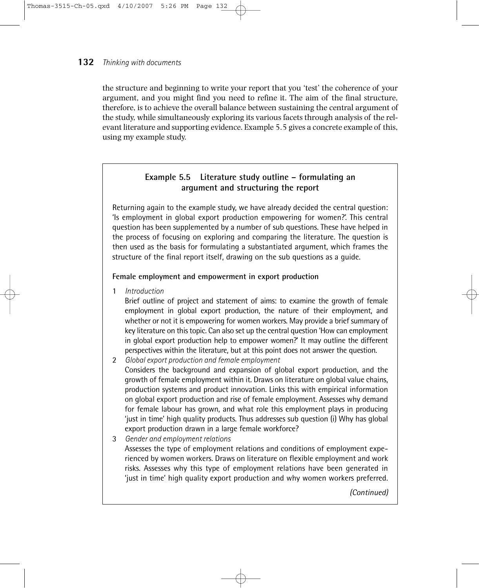# **132** *Thinking with documents*

the structure and beginning to write your report that you 'test' the coherence of your argument, and you might find you need to refine it. The aim of the final structure, therefore, is to achieve the overall balance between sustaining the central argument of the study, while simultaneously exploring its various facets through analysis of the relevant literature and supporting evidence. Example 5.5 gives a concrete example of this, using my example study.

# **Example 5.5 Literature study outline – formulating an argument and structuring the report**

Returning again to the example study, we have already decided the central question: 'Is employment in global export production empowering for women?'. This central question has been supplemented by a number of sub questions. These have helped in the process of focusing on exploring and comparing the literature. The question is then used as the basis for formulating a substantiated argument, which frames the structure of the final report itself, drawing on the sub questions as a guide.

#### **Female employment and empowerment in export production**

1 *Introduction* 

Brief outline of project and statement of aims: to examine the growth of female employment in global export production, the nature of their employment, and whether or not it is empowering for women workers. May provide a brief summary of key literature on this topic. Can also set up the central question 'How can employment in global export production help to empower women?' It may outline the different perspectives within the literature, but at this point does not answer the question.

2 *Global export production and female employment* 

Considers the background and expansion of global export production, and the growth of female employment within it. Draws on literature on global value chains, production systems and product innovation. Links this with empirical information on global export production and rise of female employment. Assesses why demand for female labour has grown, and what role this employment plays in producing 'just in time' high quality products. Thus addresses sub question (i) Why has global export production drawn in a large female workforce?

#### 3 *Gender and employment relations*

Assesses the type of employment relations and conditions of employment experienced by women workers. Draws on literature on flexible employment and work risks. Assesses why this type of employment relations have been generated in 'just in time' high quality export production and why women workers preferred.

*(Continued)*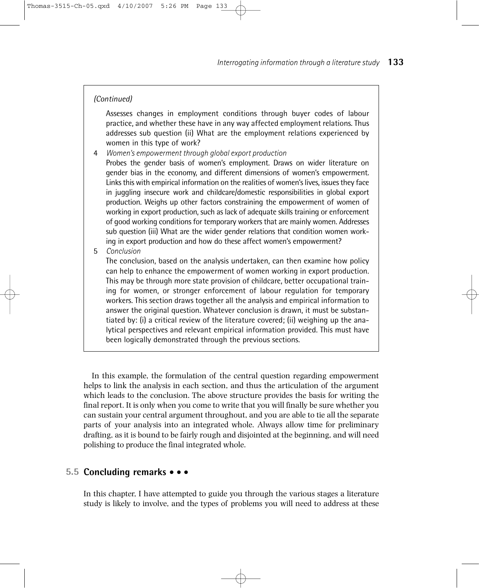#### *(Continued)*

Assesses changes in employment conditions through buyer codes of labour practice, and whether these have in any way affected employment relations. Thus addresses sub question (ii) What are the employment relations experienced by women in this type of work?

4 *Women's empowerment through global export production*  Probes the gender basis of women's employment. Draws on wider literature on gender bias in the economy, and different dimensions of women's empowerment. Links this with empirical information on the realities of women's lives, issues they face in juggling insecure work and childcare/domestic responsibilities in global export production. Weighs up other factors constraining the empowerment of women of working in export production, such as lack of adequate skills training or enforcement of good working conditions for temporary workers that are mainly women. Addresses sub question (iii) What are the wider gender relations that condition women working in export production and how do these affect women's empowerment?

5 *Conclusion* 

The conclusion, based on the analysis undertaken, can then examine how policy can help to enhance the empowerment of women working in export production. This may be through more state provision of childcare, better occupational training for women, or stronger enforcement of labour regulation for temporary workers. This section draws together all the analysis and empirical information to answer the original question. Whatever conclusion is drawn, it must be substantiated by: (i) a critical review of the literature covered; (ii) weighing up the analytical perspectives and relevant empirical information provided. This must have been logically demonstrated through the previous sections.

In this example, the formulation of the central question regarding empowerment helps to link the analysis in each section, and thus the articulation of the argument which leads to the conclusion. The above structure provides the basis for writing the final report. It is only when you come to write that you will finally be sure whether you can sustain your central argument throughout, and you are able to tie all the separate parts of your analysis into an integrated whole. Always allow time for preliminary drafting, as it is bound to be fairly rough and disjointed at the beginning, and will need polishing to produce the final integrated whole.

# **5.5 Concluding remarks** • • •

In this chapter, I have attempted to guide you through the various stages a literature study is likely to involve, and the types of problems you will need to address at these